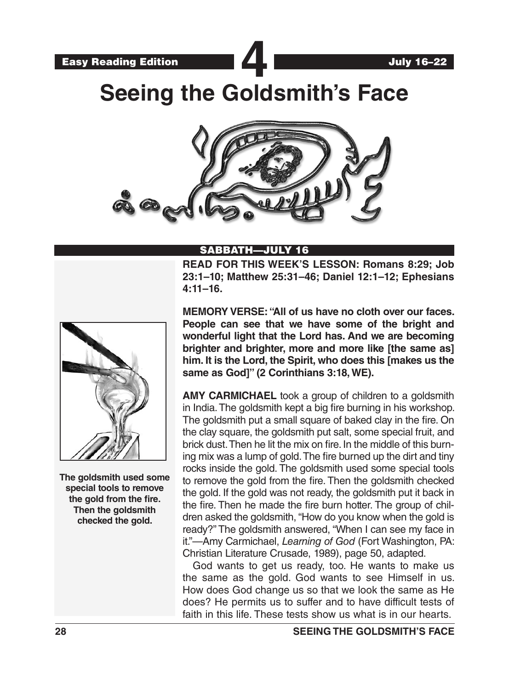**Seeing the Goldsmith's Face**



## SABBATH—JULY 16

**READ FOR THIS WEEK'S LESSON: Romans 8:29; Job 23:1–10; Matthew 25:31–46; Daniel 12:1–12; Ephesians 4:11–16.**



**The goldsmith used some special tools to remove the gold from the fire. Then the goldsmith checked the gold.**

**MEMORY VERSE: "All of us have no cloth over our faces. People can see that we have some of the bright and wonderful light that the Lord has. And we are becoming brighter and brighter, more and more like [the same as] him. It is the Lord, the Spirit, who does this [makes us the same as God]" (2 Corinthians 3:18, WE).**

**AMY CARMICHAEL** took a group of children to a goldsmith in India. The goldsmith kept a big fire burning in his workshop. The goldsmith put a small square of baked clay in the fire. On the clay square, the goldsmith put salt, some special fruit, and brick dust. Then he lit the mix on fire. In the middle of this burning mix was a lump of gold. The fire burned up the dirt and tiny rocks inside the gold. The goldsmith used some special tools to remove the gold from the fire. Then the goldsmith checked the gold. If the gold was not ready, the goldsmith put it back in the fire. Then he made the fire burn hotter. The group of children asked the goldsmith, "How do you know when the gold is ready?" The goldsmith answered, "When I can see my face in it."—Amy Carmichael, *Learning of God* (Fort Washington, PA: Christian Literature Crusade, 1989), page 50, adapted.

God wants to get us ready, too. He wants to make us the same as the gold. God wants to see Himself in us. How does God change us so that we look the same as He does? He permits us to suffer and to have difficult tests of faith in this life. These tests show us what is in our hearts.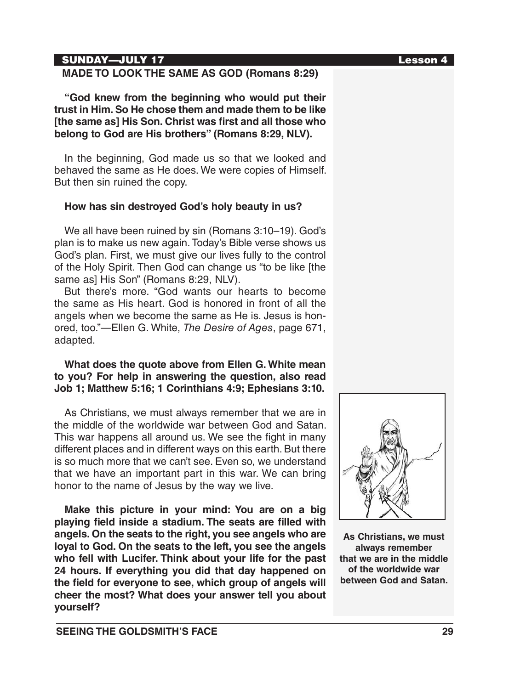## SUNDAY—JULY 17 Lesson 4

## **MADE TO LOOK THE SAME AS GOD (Romans 8:29)**

**"God knew from the beginning who would put their trust in Him. So He chose them and made them to be like [the same as] His Son. Christ was first and all those who belong to God are His brothers" (Romans 8:29, NLV).**

In the beginning, God made us so that we looked and behaved the same as He does. We were copies of Himself. But then sin ruined the copy.

#### **How has sin destroyed God's holy beauty in us?**

We all have been ruined by sin (Romans 3:10–19). God's plan is to make us new again. Today's Bible verse shows us God's plan. First, we must give our lives fully to the control of the Holy Spirit. Then God can change us "to be like [the same as] His Son" (Romans 8:29, NLV).

But there's more. "God wants our hearts to become the same as His heart. God is honored in front of all the angels when we become the same as He is. Jesus is honored, too."—Ellen G. White, *The Desire of Ages*, page 671, adapted.

## **What does the quote above from Ellen G. White mean to you? For help in answering the question, also read Job 1; Matthew 5:16; 1 Corinthians 4:9; Ephesians 3:10.**

As Christians, we must always remember that we are in the middle of the worldwide war between God and Satan. This war happens all around us. We see the fight in many different places and in different ways on this earth. But there is so much more that we can't see. Even so, we understand that we have an important part in this war. We can bring honor to the name of Jesus by the way we live.

**Make this picture in your mind: You are on a big playing field inside a stadium. The seats are filled with angels. On the seats to the right, you see angels who are loyal to God. On the seats to the left, you see the angels who fell with Lucifer. Think about your life for the past 24 hours. If everything you did that day happened on the field for everyone to see, which group of angels will cheer the most? What does your answer tell you about yourself?**



**As Christians, we must always remember that we are in the middle of the worldwide war between God and Satan.**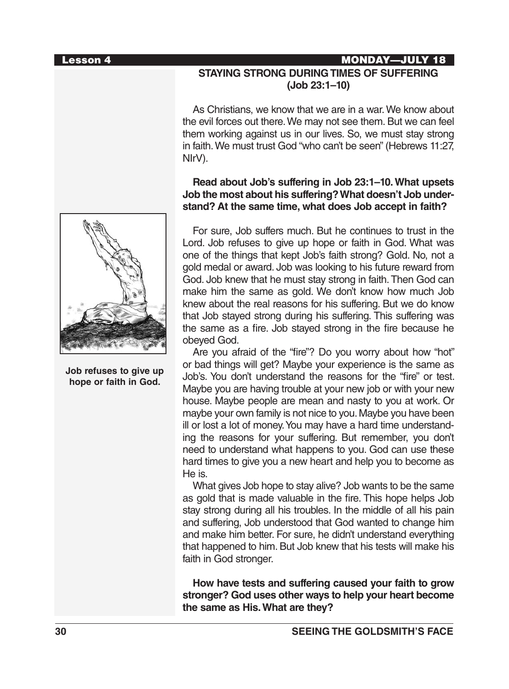#### Lesson 4 MONDAY—JULY 18



**Job refuses to give up hope or faith in God.**

# **STAYING STRONG DURING TIMES OF SUFFERING (Job 23:1–10)**

As Christians, we know that we are in a war. We know about the evil forces out there. We may not see them. But we can feel them working against us in our lives. So, we must stay strong in faith. We must trust God "who can't be seen" (Hebrews 11:27, NIrV).

## **Read about Job's suffering in Job 23:1–10. What upsets Job the most about his suffering? What doesn't Job understand? At the same time, what does Job accept in faith?**

For sure, Job suffers much. But he continues to trust in the Lord. Job refuses to give up hope or faith in God. What was one of the things that kept Job's faith strong? Gold. No, not a gold medal or award. Job was looking to his future reward from God. Job knew that he must stay strong in faith. Then God can make him the same as gold. We don't know how much Job knew about the real reasons for his suffering. But we do know that Job stayed strong during his suffering. This suffering was the same as a fire. Job stayed strong in the fire because he obeyed God.

Are you afraid of the "fire"? Do you worry about how "hot" or bad things will get? Maybe your experience is the same as Job's. You don't understand the reasons for the "fire" or test. Maybe you are having trouble at your new job or with your new house. Maybe people are mean and nasty to you at work. Or maybe your own family is not nice to you. Maybe you have been ill or lost a lot of money. You may have a hard time understanding the reasons for your suffering. But remember, you don't need to understand what happens to you. God can use these hard times to give you a new heart and help you to become as He is.

What gives Job hope to stay alive? Job wants to be the same as gold that is made valuable in the fire. This hope helps Job stay strong during all his troubles. In the middle of all his pain and suffering, Job understood that God wanted to change him and make him better. For sure, he didn't understand everything that happened to him. But Job knew that his tests will make his faith in God stronger.

**How have tests and suffering caused your faith to grow stronger? God uses other ways to help your heart become the same as His. What are they?**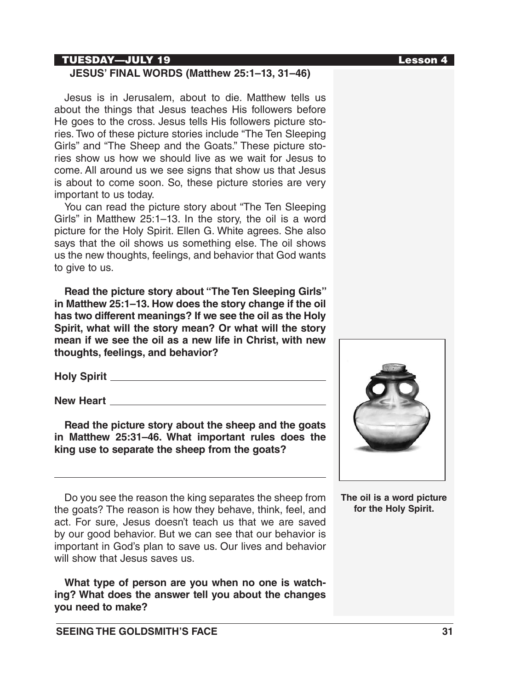## TUESDAY—JULY 19 Lesson 4

## **JESUS' FINAL WORDS (Matthew 25:1–13, 31–46)**

Jesus is in Jerusalem, about to die. Matthew tells us about the things that Jesus teaches His followers before He goes to the cross. Jesus tells His followers picture stories. Two of these picture stories include "The Ten Sleeping Girls" and "The Sheep and the Goats." These picture stories show us how we should live as we wait for Jesus to come. All around us we see signs that show us that Jesus is about to come soon. So, these picture stories are very important to us today.

You can read the picture story about "The Ten Sleeping Girls" in Matthew 25:1–13. In the story, the oil is a word picture for the Holy Spirit. Ellen G. White agrees. She also says that the oil shows us something else. The oil shows us the new thoughts, feelings, and behavior that God wants to give to us.

**Read the picture story about "The Ten Sleeping Girls" in Matthew 25:1–13. How does the story change if the oil has two different meanings? If we see the oil as the Holy Spirit, what will the story mean? Or what will the story mean if we see the oil as a new life in Christ, with new thoughts, feelings, and behavior?** 

**Holy Spirit**

**New Heart**

**Read the picture story about the sheep and the goats in Matthew 25:31–46. What important rules does the king use to separate the sheep from the goats?**

Do you see the reason the king separates the sheep from the goats? The reason is how they behave, think, feel, and act. For sure, Jesus doesn't teach us that we are saved by our good behavior. But we can see that our behavior is important in God's plan to save us. Our lives and behavior will show that Jesus saves us.

**What type of person are you when no one is watching? What does the answer tell you about the changes you need to make?**



**The oil is a word picture for the Holy Spirit.**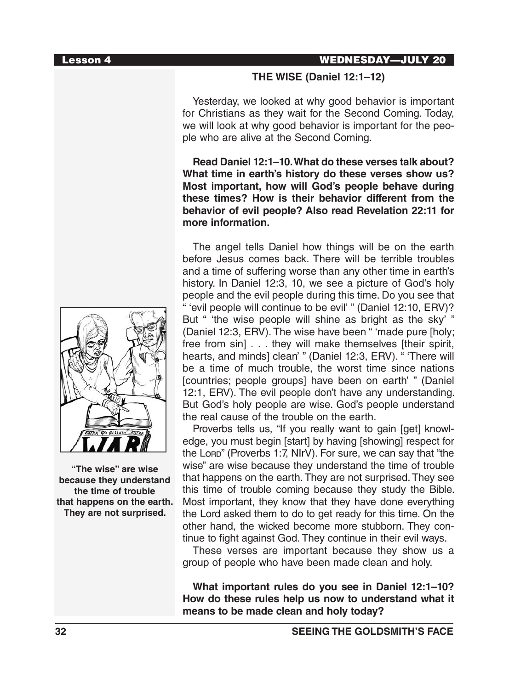#### Lesson 4 WEDNESDAY—JULY 20

### **THE WISE (Daniel 12:1–12)**

Yesterday, we looked at why good behavior is important for Christians as they wait for the Second Coming. Today, we will look at why good behavior is important for the people who are alive at the Second Coming.

**Read Daniel 12:1–10. What do these verses talk about? What time in earth's history do these verses show us? Most important, how will God's people behave during these times? How is their behavior different from the behavior of evil people? Also read Revelation 22:11 for more information.** 

The angel tells Daniel how things will be on the earth before Jesus comes back. There will be terrible troubles and a time of suffering worse than any other time in earth's history. In Daniel 12:3, 10, we see a picture of God's holy people and the evil people during this time. Do you see that " 'evil people will continue to be evil' " (Daniel 12:10, ERV)? But " 'the wise people will shine as bright as the sky' " (Daniel 12:3, ERV). The wise have been " 'made pure [holy; free from sin] . . . they will make themselves [their spirit, hearts, and minds] clean' " (Daniel 12:3, ERV). " 'There will be a time of much trouble, the worst time since nations [countries; people groups] have been on earth' " (Daniel 12:1, ERV). The evil people don't have any understanding. But God's holy people are wise. God's people understand the real cause of the trouble on the earth.

Proverbs tells us, "If you really want to gain [get] knowledge, you must begin [start] by having [showing] respect for the Lori (Proverbs 1:7, NIrV). For sure, we can say that "the wise" are wise because they understand the time of trouble that happens on the earth. They are not surprised. They see this time of trouble coming because they study the Bible. Most important, they know that they have done everything the Lord asked them to do to get ready for this time. On the other hand, the wicked become more stubborn. They continue to fight against God. They continue in their evil ways.

These verses are important because they show us a group of people who have been made clean and holy.

**What important rules do you see in Daniel 12:1–10? How do these rules help us now to understand what it means to be made clean and holy today?**



**"The wise" are wise because they understand the time of trouble that happens on the earth. They are not surprised.**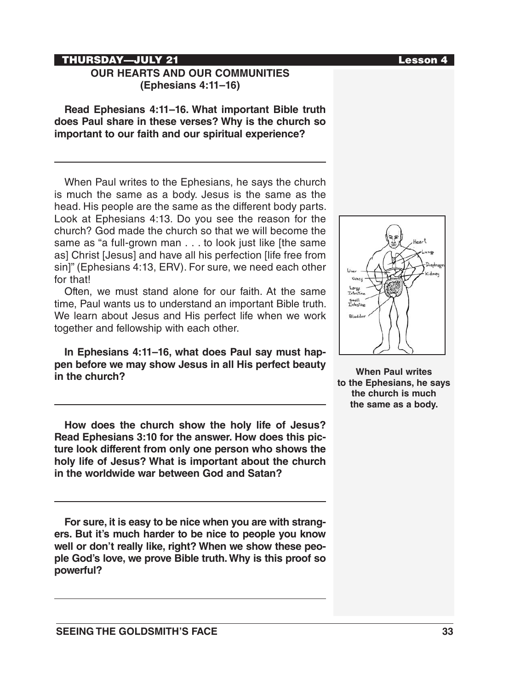### THURSDAY—JULY 21 Lesson 4

## **OUR HEARTS AND OUR COMMUNITIES (Ephesians 4:11–16)**

**Read Ephesians 4:11–16. What important Bible truth does Paul share in these verses? Why is the church so important to our faith and our spiritual experience?**

When Paul writes to the Ephesians, he says the church is much the same as a body. Jesus is the same as the head. His people are the same as the different body parts. Look at Ephesians 4:13. Do you see the reason for the church? God made the church so that we will become the same as "a full-grown man . . . to look just like [the same as] Christ [Jesus] and have all his perfection [life free from sin]" (Ephesians 4:13, ERV). For sure, we need each other for that!

Often, we must stand alone for our faith. At the same time, Paul wants us to understand an important Bible truth. We learn about Jesus and His perfect life when we work together and fellowship with each other.

**In Ephesians 4:11–16, what does Paul say must happen before we may show Jesus in all His perfect beauty in the church?**

**How does the church show the holy life of Jesus? Read Ephesians 3:10 for the answer. How does this picture look different from only one person who shows the holy life of Jesus? What is important about the church in the worldwide war between God and Satan?**

**For sure, it is easy to be nice when you are with strangers. But it's much harder to be nice to people you know well or don't really like, right? When we show these people God's love, we prove Bible truth. Why is this proof so powerful?**



# Large<br>Tatesti small<br>Intestin Bladder

**When Paul writes to the Ephesians, he says the church is much the same as a body.**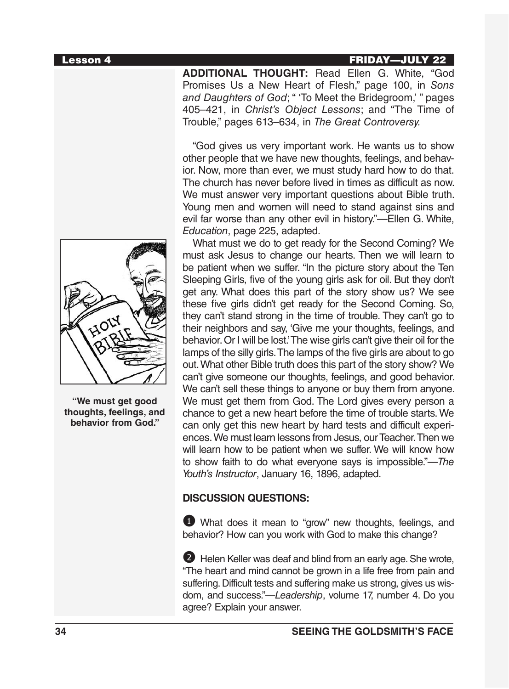#### Lesson 4 FRIDAY—JULY 22

**ADDITIONAL THOUGHT:** Read Ellen G. White, "God Promises Us a New Heart of Flesh," page 100, in *Sons and Daughters of God*; " 'To Meet the Bridegroom,' " pages 405–421, in *Christ's Object Lessons*; and "The Time of Trouble," pages 613–634, in *The Great Controversy.*

"God gives us very important work. He wants us to show other people that we have new thoughts, feelings, and behavior. Now, more than ever, we must study hard how to do that. The church has never before lived in times as difficult as now. We must answer very important questions about Bible truth. Young men and women will need to stand against sins and evil far worse than any other evil in history."—Ellen G. White, *Education*, page 225, adapted.

What must we do to get ready for the Second Coming? We must ask Jesus to change our hearts. Then we will learn to be patient when we suffer. "In the picture story about the Ten Sleeping Girls, five of the young girls ask for oil. But they don't get any. What does this part of the story show us? We see these five girls didn't get ready for the Second Coming. So, they can't stand strong in the time of trouble. They can't go to their neighbors and say, 'Give me your thoughts, feelings, and behavior. Or I will be lost.' The wise girls can't give their oil for the lamps of the silly girls. The lamps of the five girls are about to go out. What other Bible truth does this part of the story show? We can't give someone our thoughts, feelings, and good behavior. We can't sell these things to anyone or buy them from anyone. We must get them from God. The Lord gives every person a chance to get a new heart before the time of trouble starts. We can only get this new heart by hard tests and difficult experiences. We must learn lessons from Jesus, our Teacher. Then we will learn how to be patient when we suffer. We will know how to show faith to do what everyone says is impossible."—*The Youth's Instructor*, January 16, 1896, adapted.

#### **DISCUSSION QUESTIONS:**

1 What does it mean to "grow" new thoughts, feelings, and behavior? How can you work with God to make this change?

2 Helen Keller was deaf and blind from an early age. She wrote, "The heart and mind cannot be grown in a life free from pain and suffering. Difficult tests and suffering make us strong, gives us wisdom, and success."—*Leadership*, volume 17, number 4. Do you agree? Explain your answer.



**"We must get good thoughts, feelings, and behavior from God."**